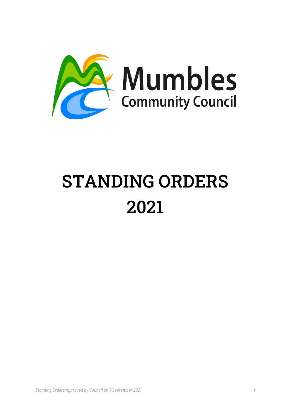

# STANDING ORDERS 2021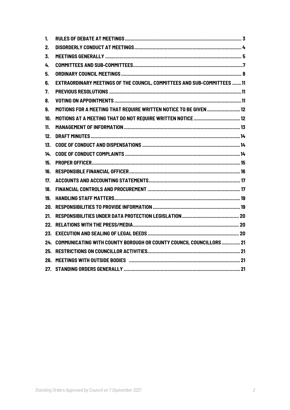| 1.  |                                                                                |  |
|-----|--------------------------------------------------------------------------------|--|
| 2.  |                                                                                |  |
| 3.  |                                                                                |  |
| 4.  |                                                                                |  |
| 5.  |                                                                                |  |
| 6.  | <b>EXTRAORDINARY MEETINGS OF THE COUNCIL, COMMITTEES AND SUB-COMMITTEES 11</b> |  |
| 7.  |                                                                                |  |
| 8.  |                                                                                |  |
| 9.  | MOTIONS FOR A MEETING THAT REOUIRE WRITTEN NOTICE TO BE GIVEN  12              |  |
| 10. |                                                                                |  |
| 11. |                                                                                |  |
| 12. |                                                                                |  |
| 13. |                                                                                |  |
| 14. |                                                                                |  |
| 15. |                                                                                |  |
| 16. |                                                                                |  |
| 17. |                                                                                |  |
| 18. |                                                                                |  |
| 19. |                                                                                |  |
|     |                                                                                |  |
| 21. |                                                                                |  |
|     |                                                                                |  |
|     |                                                                                |  |
|     | 24. COMMUNICATING WITH COUNTY BOROUGH OR COUNTY COUNCIL COUNCILLORS 21         |  |
|     |                                                                                |  |
|     |                                                                                |  |
|     |                                                                                |  |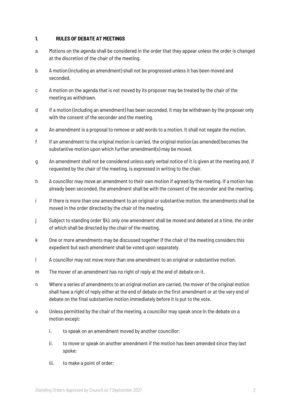#### **1. RULES OF DEBATE AT MEETINGS**

- a Motions on the agenda shall be considered in the order that they appear unless the order is changed at the discretion of the chair of the meeting.
- b A motion (including an amendment) shall not be progressed unless it has been moved and seconded.
- c A motion on the agenda that is not moved by its proposer may be treated by the chair of the meeting as withdrawn.
- d If a motion (including an amendment) has been seconded, it may be withdrawn by the proposer only with the consent of the seconder and the meeting.
- e An amendment is a proposal to remove or add words to a motion. It shall not negate the motion.
- f If an amendment to the original motion is carried, the original motion (as amended) becomes the substantive motion upon which further amendment(s) may be moved.
- g An amendment shall not be considered unless early verbal notice of it is given at the meeting and, if requested by the chair of the meeting, is expressed in writing to the chair.
- h A councillor may move an amendment to their own motion if agreed by the meeting. If a motion has already been seconded, the amendment shall be with the consent of the seconder and the meeting.
- i If there is more than one amendment to an original or substantive motion, the amendments shall be moved in the order directed by the chair of the meeting.
- j Subject to standing order 1(k), only one amendment shall be moved and debated at a time, the order of which shall be directed by the chair of the meeting.
- k One or more amendments may be discussed together if the chair of the meeting considers this expedient but each amendment shall be voted upon separately.
- l A councillor may not move more than one amendment to an original or substantive motion.
- m The mover of an amendment has no right of reply at the end of debate on it.
- n Where a series of amendments to an original motion are carried, the mover of the original motion shall have a right of reply either at the end of debate on the first amendment or at the very end of debate on the final substantive motion immediately before it is put to the vote.
- o Unless permitted by the chair of the meeting, a councillor may speak once in the debate on a motion except:
	- i. to speak on an amendment moved by another councillor;
	- ii. to move or speak on another amendment if the motion has been amended since they last spoke;
	- iii. to make a point of order;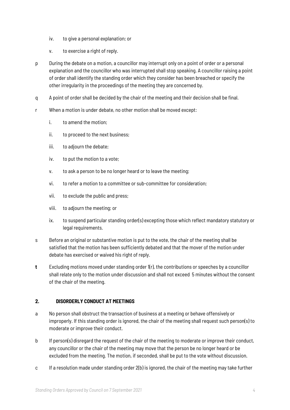- iv. to give a personal explanation; or
- v. to exercise a right of reply.
- p During the debate on a motion, a councillor may interrupt only on a point of order or a personal explanation and the councillor who was interrupted shall stop speaking. A councillor raising a point of order shall identify the standing order which they consider has been breached or specify the other irregularity in the proceedings of the meeting they are concerned by.
- q A point of order shall be decided by the chair of the meeting and their decision shall be final.
- r When a motion is under debate, no other motion shall be moved except:
	- i. to amend the motion;
	- ii. to proceed to the next business;
	- iii. to adjourn the debate;
	- iv. to put the motion to a vote;
	- v. to ask a person to be no longer heard or to leave the meeting;
	- vi. to refer a motion to a committee or sub-committee for consideration;
	- vii. to exclude the public and press;
	- viii. to adjourn the meeting; or
	- ix. to suspend particular standing order(s) excepting those which reflect mandatory statutory or legal requirements.
- s Before an original or substantive motion is put to the vote, the chair of the meeting shall be satisfied that the motion has been sufficiently debated and that the mover of the motion under debate has exercised or waived his right of reply.
- **t** Excluding motions moved under standing order 1(r), the contributions or speeches by a councillor shall relate only to the motion under discussion and shall not exceed 5 minutes without the consent of the chair of the meeting.

# **2. DISORDERLY CONDUCT AT MEETINGS**

- a No person shall obstruct the transaction of business at a meeting or behave offensively or improperly. If this standing order is ignored, the chair of the meeting shall request such person(s) to moderate or improve their conduct.
- b If person(s) disregard the request of the chair of the meeting to moderate or improve their conduct, any councillor or the chair of the meeting may move that the person be no longer heard or be excluded from the meeting. The motion, if seconded, shall be put to the vote without discussion.
- c If a resolution made under standing order 2(b) is ignored, the chair of the meeting may take further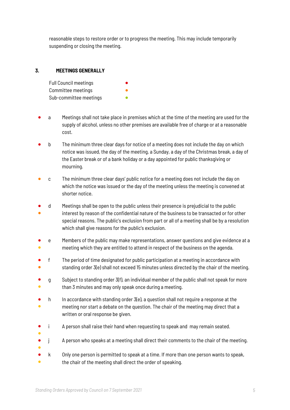reasonable steps to restore order or to progress the meeting. This may include temporarily suspending or closing the meeting.

## **3. MEETINGS GENERALLY**

| <b>Full Council meetings</b> |  |
|------------------------------|--|
| Committee meetings           |  |
| Sub-committee meetings       |  |

- a Meetings shall not take place in premises which at the time of the meeting are used for the supply of alcohol, unless no other premises are available free of charge or at a reasonable cost.
- b The minimum three clear days for notice of a meeting does not include the day on which notice was issued, the day of the meeting, a Sunday, a day of the Christmas break, a day of the Easter break or of a bank holiday or a day appointed for public thanksgiving or mourning.
- c The minimum three clear days' public notice for a meeting does not include the day on which the notice was issued or the day of the meeting unless the meeting is convened at shorter notice.
- d Meetings shall be open to the public unless their presence is prejudicial to the public
- interest by reason of the confidential nature of the business to be transacted or for other special reasons. The public's exclusion from part or all of a meeting shall be by a resolution which shall give reasons for the public's exclusion.
- ● e Members of the public may make representations, answer questions and give evidence at a meeting which they are entitled to attend in respect of the business on the agenda.
- ● f The period of time designated for public participation at a meeting in accordance with standing order 3(e) shall not exceed 15 minutes unless directed by the chair of the meeting.
- ● g Subject to standing order 3(f), an individual member of the public shall not speak for more than 3 minutes and may only speak once during a meeting.
- ● h In accordance with standing order  $3(e)$ , a question shall not require a response at the meeting nor start a debate on the question. The chair of the meeting may direct that a written or oral response be given.
- i A person shall raise their hand when requesting to speak and may remain seated.
- ●
- ● j A person who speaks at a meeting shall direct their comments to the chair of the meeting.
- ● k Only one person is permitted to speak at a time. If more than one person wants to speak, the chair of the meeting shall direct the order of speaking.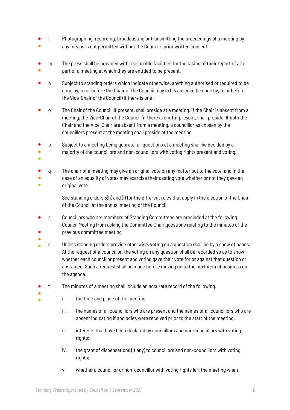- ● l Photographing, recording, broadcasting or transmitting the proceedings of a meeting by any means is not permitted without the Council's prior written consent.
- ● m The press shall be provided with reasonable facilities for the taking of their report of all or part of a meeting at which they are entitled to be present.
- n Subject to standing orders which indicate otherwise, anything authorised or required to be done by, to or before the Chair of the Council may in his absence be done by, to or before the Vice-Chair of the Council (if there is one).
- o The Chair of the Council, if present, shall preside at a meeting. If the Chair is absent from a meeting, the Vice-Chair of the Council (if there is one), if present, shall preside. If both the Chair and the Vice-Chair are absent from a meeting, a councillor as chosen by the councillors present at the meeting shall preside at the meeting.
- p Subject to a meeting being quorate, all questions at a meeting shall be decided by a
- majority of the councillors and non-councillors with voting rights present and voting.
- ●
- q The chair of a meeting may give an original vote on any matter put to the vote, and in the
- ● case of an equality of votes may exercise their casting vote whether or not they gave an original vote.
	- See standing orders 5(h) and (i) for the different rules that apply in the election of the Chair of the Council at the annual meeting of the Council.
- ● r Councillors who are members of Standing Committees are precluded at the following Council Meeting from asking the Committee Chair questions relating to the minutes of the previous committee meeting
- ●
	- s Unless standing orders provide otherwise, voting on a question shall be by a show of hands. At the request of a councillor, the voting on any question shall be recorded so as to show whether each councillor present and voting gave their vote for or against that question or abstained. Such a request shall be made before moving on to the next item of business on the agenda.
- t The minutes of a meeting shall include an accurate record of the following:
- ●
- i. the time and place of the meeting;
	- ii. the names of all councillors who are present and the names of all councillors who are absent indicating if apologies were received prior to the start of the meeting;
	- iii. interests that have been declared by councillors and non-councillors with voting rights;
	- iv. the grant of dispensations (if any) to councillors and non-councillors with voting rights;
	- v. whether a councillor or non-councillor with voting rights left the meeting when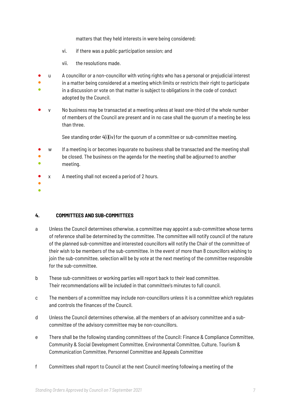matters that they held interests in were being considered;

- vi. if there was a public participation session; and
- vii. the resolutions made.
- u A councillor or a non-councillor with voting rights who has a personal or prejudicial interest
- $\bullet$ in a matter being considered at a meeting which limits or restricts their right to participate
- in a discussion or vote on that matter is subject to obligations in the code of conduct adopted by the Council.
- y No business may be transacted at a meeting unless at least one-third of the whole number of members of the Council are present and in no case shall the quorum of a meeting be less than three.

See standing order 4(i)(iv) for the quorum of a committee or sub-committee meeting.

- w If a meeting is or becomes inquorate no business shall be transacted and the meeting shall
- ● be closed. The business on the agenda for the meeting shall be adjourned to another
- meeting.
- x A meeting shall not exceed a period of 2 hours.
- ●
- ●

## **4. COMMITTEES AND SUB-COMMITTEES**

- a Unless the Council determines otherwise, a committee may appoint a sub-committee whose terms of reference shall be determined by the committee. The committee will notify council of the nature of the planned sub-committee and interested councillors will notify the Chair of the committee of their wish to be members of the sub-committee. In the event of more than 8 councillors wishing to join the sub-committee, selection will be by vote at the next meeting of the committee responsible for the sub-committee.
- b These sub-committees or working parties will report back to their lead committee. Their recommendations will be included in that committee's minutes to full council.
- c The members of a committee may include non-councillors unless it is a committee which regulates and controls the finances of the Council.
- d Unless the Council determines otherwise, all the members of an advisory committee and a subcommittee of the advisory committee may be non-councillors.
- e There shall be the following standing committees of the Council: Finance & Compliance Committee, Community & Social Development Committee, Environmental Committee, Culture, Tourism & Communication Committee, Personnel Committee and Appeals Committee
- f Committees shall report to Council at the next Council meeting following a meeting of the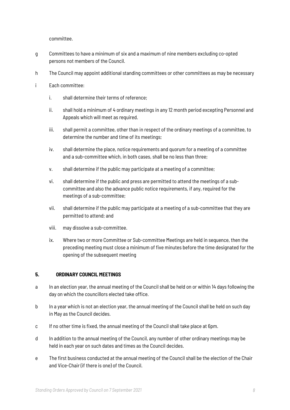committee.

- g Committees to have a minimum of six and a maximum of nine members excluding co-opted persons not members of the Council.
- h The Council may appoint additional standing committees or other committees as may be necessary
- i Each committee:
	- i. shall determine their terms of reference;
	- ii. shall hold a minimum of 4 ordinary meetings in any 12 month period excepting Personnel and Appeals which will meet as required.
	- iii. shall permit a committee, other than in respect of the ordinary meetings of a committee, to determine the number and time of its meetings;
	- iv. shall determine the place, notice requirements and quorum for a meeting of a committee and a sub-committee which, in both cases, shall be no less than three;
	- v. shall determine if the public may participate at a meeting of a committee;
	- vi. shall determine if the public and press are permitted to attend the meetings of a subcommittee and also the advance public notice requirements, if any, required for the meetings of a sub-committee;
	- vii. shall determine if the public may participate at a meeting of a sub-committee that they are permitted to attend; and
	- viii. may dissolve a sub-committee.
	- ix. Where two or more Committee or Sub-committee Meetings are held in sequence, then the preceding meeting must close a minimum of five minutes before the time designated for the opening of the subsequent meeting

# **5. ORDINARY COUNCIL MEETINGS**

- a In an election year, the annual meeting of the Council shall be held on or within 14 days following the day on which the councillors elected take office.
- b In a year which is not an election year, the annual meeting of the Council shall be held on such day in May as the Council decides.
- c If no other time is fixed, the annual meeting of the Council shall take place at 6pm.
- d In addition to the annual meeting of the Council, any number of other ordinary meetings may be held in each year on such dates and times as the Council decides.
- e The first business conducted at the annual meeting of the Council shall be the election of the Chair and Vice-Chair (if there is one) of the Council.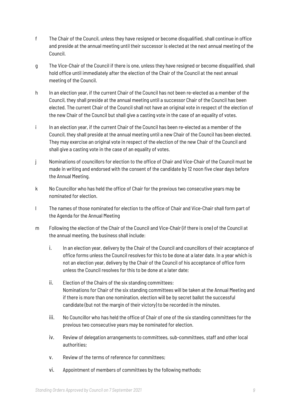- f The Chair of the Council, unless they have resigned or become disqualified, shall continue in office and preside at the annual meeting until their successor is elected at the next annual meeting of the Council.
- g The Vice-Chair of the Council if there is one, unless they have resigned or become disqualified, shall hold office until immediately after the election of the Chair of the Council at the next annual meeting of the Council.
- h In an election year, if the current Chair of the Council has not been re-elected as a member of the Council, they shall preside at the annual meeting until a successor Chair of the Council has been elected. The current Chair of the Council shall not have an original vote in respect of the election of the new Chair of the Council but shall give a casting vote in the case of an equality of votes.
- i In an election year, if the current Chair of the Council has been re-elected as a member of the Council, they shall preside at the annual meeting until a new Chair of the Council has been elected. They may exercise an original vote in respect of the election of the new Chair of the Council and shall give a casting vote in the case of an equality of votes.
- j Nominations of councillors for election to the office of Chair and Vice-Chair of the Council must be made in writing and endorsed with the consent of the candidate by 12 noon five clear days before the Annual Meeting.
- k No Councillor who has held the office of Chair for the previous two consecutive years may be nominated for election.
- l The names of those nominated for election to the office of Chair and Vice-Chair shall form part of the Agenda for the Annual Meeting
- m Following the election of the Chair of the Council and Vice-Chair (if there is one) of the Council at the annual meeting, the business shall include:
	- i. In an election year, delivery by the Chair of the Council and councillors of their acceptance of office forms unless the Council resolves for this to be done at a later date. In a year which is not an election year, delivery by the Chair of the Council of his acceptance of office form unless the Council resolves for this to be done at a later date;
	- ii. Election of the Chairs of the six standing committees: Nominations for Chair of the six standing committees will be taken at the Annual Meeting and if there is more than one nomination, election will be by secret ballot the successful candidate (but not the margin of their victory) to be recorded in the minutes.
	- iii. No Councillor who has held the office of Chair of one of the six standing committees for the previous two consecutive years may be nominated for election.
	- iv. Review of delegation arrangements to committees, sub-committees, staff and other local authorities;
	- v. Review of the terms of reference for committees;
	- vi. Appointment of members of committees by the following methods;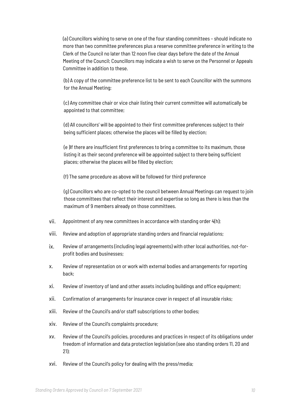(a) Councillors wishing to serve on one of the four standing committees – should indicate no more than two committee preferences plus a reserve committee preference in writing to the Clerk of the Council no later than 12 noon five clear days before the date of the Annual Meeting of the Council; Councillors may indicate a wish to serve on the Personnel or Appeals Committee in addition to these.

(b) A copy of the committee preference list to be sent to each Councillor with the summons for the Annual Meeting;

(c) Any committee chair or vice chair listing their current committee will automatically be appointed to that committee;

(d) All councillors' will be appointed to their first committee preferences subject to their being sufficient places; otherwise the places will be filled by election;

(e )If there are insufficient first preferences to bring a committee to its maximum, those listing it as their second preference will be appointed subject to there being sufficient places; otherwise the places will be filled by election;

(f) The same procedure as above will be followed for third preference

(g) Councillors who are co-opted to the council between Annual Meetings can request to join those committees that reflect their interest and expertise so long as there is less than the maximum of 9 members already on those committees.

- vii. Appointment of any new committees in accordance with standing order 4(h);
- viii. Review and adoption of appropriate standing orders and financial regulations;
- ix. Review of arrangements (including legal agreements) with other local authorities, not-forprofit bodies and businesses;
- x. Review of representation on or work with external bodies and arrangements for reporting back;
- xi. Review of inventory of land and other assets including buildings and office equipment;
- xii. Confirmation of arrangements for insurance cover in respect of all insurable risks;
- xiii. Review of the Council's and/or staff subscriptions to other bodies;
- xiv. Review of the Council's complaints procedure;
- xv. Review of the Council's policies, procedures and practices in respect of its obligations under freedom of information and data protection legislation (see also standing orders 11, 20 and 21);
- xvi. Review of the Council's policy for dealing with the press/media;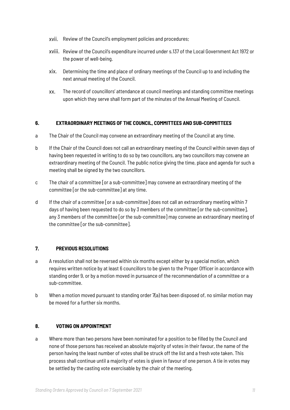- xvii. Review of the Council's employment policies and procedures;
- xviii. Review of the Council's expenditure incurred under s.137 of the Local Government Act 1972 or the power of well-being.
- xix. Determining the time and place of ordinary meetings of the Council up to and including the next annual meeting of the Council.
- xx. The record of councillors' attendance at council meetings and standing committee meetings upon which they serve shall form part of the minutes of the Annual Meeting of Council.

# **6. EXTRAORDINARY MEETINGS OF THE COUNCIL, COMMITTEES AND SUB-COMMITTEES**

- a The Chair of the Council may convene an extraordinary meeting of the Council at any time.
- b If the Chair of the Council does not call an extraordinary meeting of the Council within seven days of having been requested in writing to do so by two councillors, any two councillors may convene an extraordinary meeting of the Council. The public notice giving the time, place and agenda for such a meeting shall be signed by the two councillors.
- c The chair of a committee [or a sub-committee] may convene an extraordinary meeting of the committee [or the sub-committee] at any time.
- d If the chair of a committee [or a sub-committee] does not call an extraordinary meeting within 7 days of having been requested to do so by 3 members of the committee [or the sub-committee], any 3 members of the committee [or the sub-committee] may convene an extraordinary meeting of the committee [or the sub-committee].

# **7. PREVIOUS RESOLUTIONS**

- a A resolution shall not be reversed within six months except either by a special motion, which requires written notice by at least 6 councillors to be given to the Proper Officer in accordance with standing order 9, or by a motion moved in pursuance of the recommendation of a committee or a sub-committee.
- b When a motion moved pursuant to standing order 7(a) has been disposed of, no similar motion may be moved for a further six months.

# **8. VOTING ON APPOINTMENT**

a Where more than two persons have been nominated for a position to be filled by the Council and none of those persons has received an absolute majority of votes in their favour, the name of the person having the least number of votes shall be struck off the list and a fresh vote taken. This process shall continue until a majority of votes is given in favour of one person. A tie in votes may be settled by the casting vote exercisable by the chair of the meeting.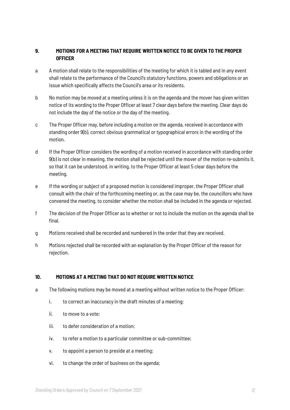# **9. MOTIONS FOR A MEETING THAT REQUIRE WRITTEN NOTICE TO BE GIVEN TO THE PROPER OFFICER**

- a A motion shall relate to the responsibilities of the meeting for which it is tabled and in any event shall relate to the performance of the Council's statutory functions, powers and obligations or an issue which specifically affects the Council's area or its residents.
- b No motion may be moved at a meeting unless it is on the agenda and the mover has given written notice of its wording to the Proper Officer at least 7 clear days before the meeting. Clear days do not include the day of the notice or the day of the meeting.
- c The Proper Officer may, before including a motion on the agenda, received in accordance with standing order 9(b), correct obvious grammatical or typographical errors in the wording of the motion.
- d If the Proper Officer considers the wording of a motion received in accordance with standing order 9(b) is not clear in meaning, the motion shall be rejected until the mover of the motion re-submits it, so that it can be understood, in writing, to the Proper Officer at least 5 clear days before the meeting.
- e If the wording or subject of a proposed motion is considered improper, the Proper Officer shall consult with the chair of the forthcoming meeting or, as the case may be, the councillors who have convened the meeting, to consider whether the motion shall be included in the agenda or rejected.
- f The decision of the Proper Officer as to whether or not to include the motion on the agenda shall be final.
- g Motions received shall be recorded and numbered in the order that they are received.
- h Motions rejected shall be recorded with an explanation by the Proper Officer of the reason for rejection.

# **10. MOTIONS AT A MEETING THAT DO NOT REQUIRE WRITTEN NOTICE**

- a The following motions may be moved at a meeting without written notice to the Proper Officer:
	- i. to correct an inaccuracy in the draft minutes of a meeting;
	- ii. to move to a vote;
	- iii. to defer consideration of a motion;
	- iv. to refer a motion to a particular committee or sub-committee;
	- v. to appoint a person to preside at a meeting;
	- vi. to change the order of business on the agenda;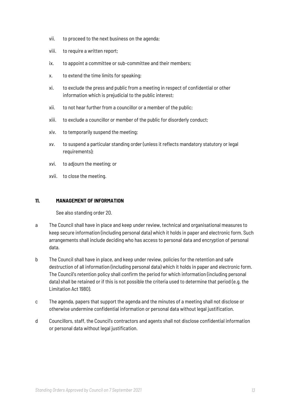- vii. to proceed to the next business on the agenda;
- viii. to require a written report;
- ix. to appoint a committee or sub-committee and their members;
- x. to extend the time limits for speaking;
- xi. to exclude the press and public from a meeting in respect of confidential or other information which is prejudicial to the public interest;
- xii. to not hear further from a councillor or a member of the public;
- xiii. to exclude a councillor or member of the public for disorderly conduct;
- xiv. to temporarily suspend the meeting;
- xv. to suspend a particular standing order (unless it reflects mandatory statutory or legal requirements);
- xvi. to adjourn the meeting; or
- xvii. to close the meeting.

## **11. MANAGEMENT OF INFORMATION**

See also standing order 20.

- a The Council shall have in place and keep under review, technical and organisational measures to keep secure information (including personal data) which it holds in paper and electronic form. Such arrangements shall include deciding who has access to personal data and encryption of personal data.
- b The Council shall have in place, and keep under review, policies for the retention and safe destruction of all information (including personal data) which it holds in paper and electronic form. The Council's retention policy shall confirm the period for which information (including personal data) shall be retained or if this is not possible the criteria used to determine that period (e.g. the Limitation Act 1980).
- c The agenda, papers that support the agenda and the minutes of a meeting shall not disclose or otherwise undermine confidential information or personal data without legal justification.
- d Councillors, staff, the Council's contractors and agents shall not disclose confidential information or personal data without legal justification.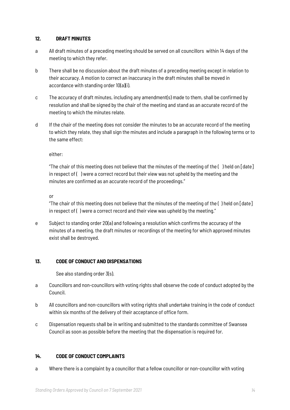## **12. DRAFT MINUTES**

- a All draft minutes of a preceding meeting should be served on all councillors within 14 days of the meeting to which they refer.
- b There shall be no discussion about the draft minutes of a preceding meeting except in relation to their accuracy. A motion to correct an inaccuracy in the draft minutes shall be moved in accordance with standing order  $10(a)(i)$ .
- c The accuracy of draft minutes, including any amendment(s) made to them, shall be confirmed by resolution and shall be signed by the chair of the meeting and stand as an accurate record of the meeting to which the minutes relate.
- d If the chair of the meeting does not consider the minutes to be an accurate record of the meeting to which they relate, they shall sign the minutes and include a paragraph in the following terms or to the same effect:

either:

"The chair of this meeting does not believe that the minutes of the meeting of the ( ) held on [date] in respect of ( ) were a correct record but their view was not upheld by the meeting and the minutes are confirmed as an accurate record of the proceedings."

or

"The chair of this meeting does not believe that the minutes of the meeting of the ( ) held on [date] in respect of () were a correct record and their view was upheld by the meeting."

e Subject to standing order 20(a) and following a resolution which confirms the accuracy of the minutes of a meeting, the draft minutes or recordings of the meeting for which approved minutes exist shall be destroyed.

# **13. CODE OF CONDUCT AND DISPENSATIONS**

See also standing order 3(s).

- a Councillors and non-councillors with voting rights shall observe the code of conduct adopted by the Council.
- b All councillors and non-councillors with voting rights shall undertake training in the code of conduct within six months of the delivery of their acceptance of office form.
- c Dispensation requests shall be in writing and submitted to the standards committee of Swansea Council as soon as possible before the meeting that the dispensation is required for.

# **14. CODE OF CONDUCT COMPLAINTS**

a Where there is a complaint by a councillor that a fellow councillor or non-councillor with voting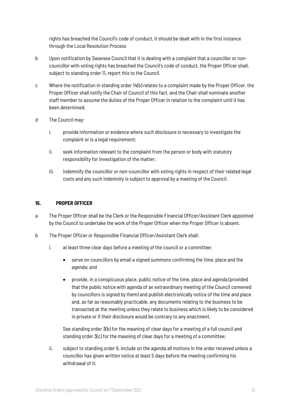rights has breached the Council's code of conduct, it should be dealt with in the first instance through the Local Resolution Process

- b Upon notification by Swansea Council that it is dealing with a complaint that a councillor or noncouncillor with voting rights has breached the Council's code of conduct, the Proper Officer shall, subject to standing order 11, report this to the Council.
- c Where the notification in standing order 14(b) relates to a complaint made by the Proper Officer, the Proper Officer shall notify the Chair of Council of this fact, and the Chair shall nominate another staff member to assume the duties of the Proper Officer in relation to the complaint until it has been determined.
- d The Council may:
	- i. provide information or evidence where such disclosure is necessary to investigate the complaint or is a legal requirement;
	- ii. seek information relevant to the complaint from the person or body with statutory responsibility for investigation of the matter;
	- iii. indemnify the councillor or non-councillor with voting rights in respect of their related legal costs and any such indemnity is subject to approval by a meeting of the Council.

## **15. PROPER OFFICER**

- a The Proper Officer shall be the Clerk or the Responsible Financial Officer/Assistant Clerk appointed by the Council to undertake the work of the Proper Officer when the Proper Officer is absent.
- b The Proper Officer or Responsible Financial Officer/Assistant Clerk shall:
	- i. at least three clear days before a meeting of the council or a committee:
		- serve on councillors by email a signed summons confirming the time, place and the agenda; and
		- provide, in a conspicuous place, public notice of the time, place and agenda (provided that the public notice with agenda of an extraordinary meeting of the Council convened by councillors is signed by them) and publish electronically notice of the time and place and, as far as reasonably practicable, any documents relating to the business to be transacted at the meeting unless they relate to business which is likely to be considered in private or if their disclosure would be contrary to any enactment.

See standing order 3(b) for the meaning of clear days for a meeting of a full council and standing order 3(c) for the meaning of clear days for a meeting of a committee;

ii. subject to standing order 9, include on the agenda all motions in the order received unless a councillor has given written notice at least 5 days before the meeting confirming his withdrawal of it;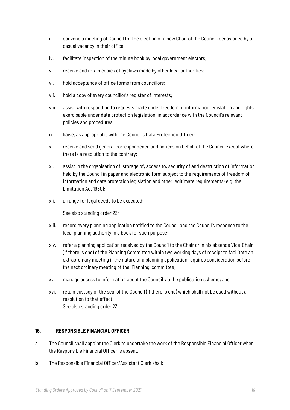- iii. convene a meeting of Council for the election of a new Chair of the Council, occasioned by a casual vacancy in their office;
- iv. facilitate inspection of the minute book by local government electors;
- v. receive and retain copies of byelaws made by other local authorities;
- vi. hold acceptance of office forms from councillors;
- vii. hold a copy of every councillor's register of interests;
- viii. assist with responding to requests made under freedom of information legislation and rights exercisable under data protection legislation, in accordance with the Council's relevant policies and procedures;
- ix. liaise, as appropriate, with the Council's Data Protection Officer;
- x. receive and send general correspondence and notices on behalf of the Council except where there is a resolution to the contrary;
- xi. assist in the organisation of, storage of, access to, security of and destruction of information held by the Council in paper and electronic form subject to the requirements of freedom of information and data protection legislation and other legitimate requirements (e.g. the Limitation Act 1980);
- xii. arrange for legal deeds to be executed;

See also standing order 23;

- xiii. record every planning application notified to the Council and the Council's response to the local planning authority in a book for such purpose;
- xiv. refer a planning application received by the Council to the Chair or in his absence Vice-Chair (if there is one) of the Planning Committee within two working days of receipt to facilitate an extraordinary meeting if the nature of a planning application requires consideration before the next ordinary meeting of the Planning committee;
- xv. manage access to information about the Council via the publication scheme; and
- xvi. retain custody of the seal of the Council (if there is one) which shall not be used without a resolution to that effect. See also standing order 23.

# **16. RESPONSIBLE FINANCIAL OFFICER**

- a The Council shall appoint the Clerk to undertake the work of the Responsible Financial Officer when the Responsible Financial Officer is absent.
- **b** The Responsible Financial Officer/Assistant Clerk shall: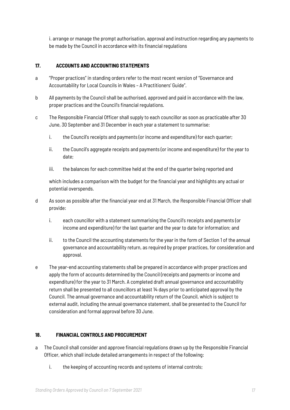i. arrange or manage the prompt authorisation, approval and instruction regarding any payments to be made by the Council in accordance with its financial regulations

## **17. ACCOUNTS AND ACCOUNTING STATEMENTS**

- a "Proper practices" in standing orders refer to the most recent version of "Governance and Accountability for Local Councils in Wales – A Practitioners' Guide".
- b All payments by the Council shall be authorised, approved and paid in accordance with the law, proper practices and the Council's financial regulations.
- c The Responsible Financial Officer shall supply to each councillor as soon as practicable after 30 June, 30 September and 31 December in each year a statement to summarise:
	- i. the Council's receipts and payments (or income and expenditure) for each quarter;
	- ii. the Council's aggregate receipts and payments (or income and expenditure) for the year to date;
	- iii. the balances for each committee held at the end of the quarter being reported and

which includes a comparison with the budget for the financial year and highlights any actual or potential overspends.

- d As soon as possible after the financial year end at 31 March, the Responsible Financial Officer shall provide:
	- i. each councillor with a statement summarising the Council's receipts and payments (or income and expenditure) for the last quarter and the year to date for information; and
	- ii. to the Council the accounting statements for the year in the form of Section 1 of the annual governance and accountability return, as required by proper practices, for consideration and approval.
- e The year-end accounting statements shall be prepared in accordance with proper practices and apply the form of accounts determined by the Council (receipts and payments or income and expenditure) for the year to 31 March. A completed draft annual governance and accountability return shall be presented to all councillors at least 14 days prior to anticipated approval by the Council. The annual governance and accountability return of the Council, which is subject to external audit, including the annual governance statement, shall be presented to the Council for consideration and formal approval before 30 June.

### **18. FINANCIAL CONTROLS AND PROCUREMENT**

- a The Council shall consider and approve financial regulations drawn up by the Responsible Financial Officer, which shall include detailed arrangements in respect of the following:
	- i. the keeping of accounting records and systems of internal controls;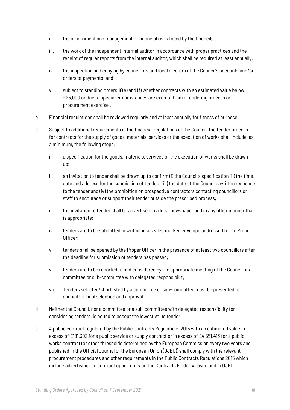- ii. the assessment and management of financial risks faced by the Council;
- iii. the work of the independent internal auditor in accordance with proper practices and the receipt of regular reports from the internal auditor, which shall be required at least annually;
- iv. the inspection and copying by councillors and local electors of the Council's accounts and/or orders of payments; and
- v. subject to standing orders 18(e) and (f) whether contracts with an estimated value below £25,000 or due to special circumstances are exempt from a tendering process or procurement exercise .
- b Financial regulations shall be reviewed regularly and at least annually for fitness of purpose.
- c Subject to additional requirements in the financial regulations of the Council, the tender process for contracts for the supply of goods, materials, services or the execution of works shall include, as a minimum, the following steps:
	- i. a specification for the goods, materials, services or the execution of works shall be drawn up;
	- ii. an invitation to tender shall be drawn up to confirm (i) the Council's specification (ii) the time, date and address for the submission of tenders (iii) the date of the Council's written response to the tender and (iv) the prohibition on prospective contractors contacting councillors or staff to encourage or support their tender outside the prescribed process;
	- iii. the invitation to tender shall be advertised in a local newspaper and in any other manner that is appropriate;
	- iv. tenders are to be submitted in writing in a sealed marked envelope addressed to the Proper Officer;
	- v. tenders shall be opened by the Proper Officer in the presence of at least two councillors after the deadline for submission of tenders has passed;
	- vi. tenders are to be reported to and considered by the appropriate meeting of the Council or a committee or sub-committee with delegated responsibility.
	- vii. Tenders selected/shortlisted by a committee or sub-committee must be presented to council for final selection and approval.
- d Neither the Council, nor a committee or a sub-committee with delegated responsibility for considering tenders, is bound to accept the lowest value tender.
- e A public contract regulated by the Public Contracts Regulations 2015 with an estimated value in excess of £181,302 for a public service or supply contract or in excess of £4,551,413 for a public works contract (or other thresholds determined by the European Commission every two years and published in the Official Journal of the European Union (OJEU)) shall comply with the relevant procurement procedures and other requirements in the Public Contracts Regulations 2015 which include advertising the contract opportunity on the Contracts Finder website and in OJEU.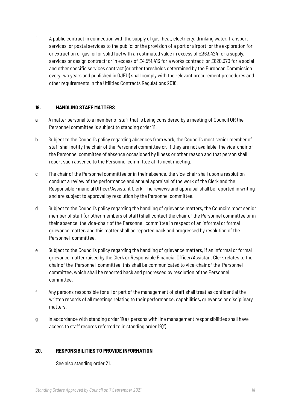f A public contract in connection with the supply of gas, heat, electricity, drinking water, transport services, or postal services to the public; or the provision of a port or airport; or the exploration for or extraction of gas, oil or solid fuel with an estimated value in excess of £363,424 for a supply, services or design contract; or in excess of £4,551,413 for a works contract; or £820,370 for a social and other specific services contract (or other thresholds determined by the European Commission every two years and published in OJEU) shall comply with the relevant procurement procedures and other requirements in the Utilities Contracts Regulations 2016.

#### **19. HANDLING STAFF MATTERS**

- a A matter personal to a member of staff that is being considered by a meeting of Council OR the Personnel committee is subject to standing order 11.
- b Subject to the Council's policy regarding absences from work, the Council's most senior member of staff shall notify the chair of the Personnel committee or, if they are not available, the vice-chair of the Personnel committee of absence occasioned by illness or other reason and that person shall report such absence to the Personnel committee at its next meeting.
- c The chair of the Personnel committee or in their absence, the vice-chair shall upon a resolution conduct a review of the performance and annual appraisal of the work of the Clerk and the Responsible Financial Officer/Assistant Clerk. The reviews and appraisal shall be reported in writing and are subject to approval by resolution by the Personnel committee.
- d Subject to the Council's policy regarding the handling of grievance matters, the Council's most senior member of staff (or other members of staff) shall contact the chair of the Personnel committee or in their absence, the vice-chair of the Personnel committee in respect of an informal or formal grievance matter, and this matter shall be reported back and progressed by resolution of the Personnel committee.
- e Subject to the Council's policy regarding the handling of grievance matters, if an informal or formal grievance matter raised by the Clerk or Responsible Financial Officer/Assistant Clerk relates to the chair of the Personnel committee, this shall be communicated to vice-chair of the Personnel committee, which shall be reported back and progressed by resolution of the Personnel committee.
- f Any persons responsible for all or part of the management of staff shall treat as confidential the written records of all meetings relating to their performance, capabilities, grievance or disciplinary matters.
- g In accordance with standing order 11(a), persons with line management responsibilities shall have access to staff records referred to in standing order 19(f).

### **20. RESPONSIBILITIES TO PROVIDE INFORMATION**

See also standing order 21.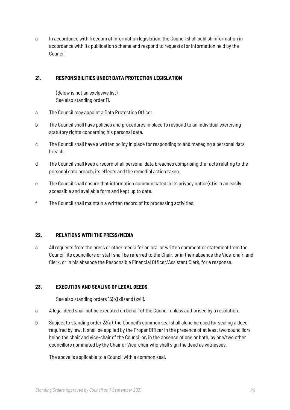a In accordance with freedom of information legislation, the Council shall publish information in accordance with its publication scheme and respond to requests for information held by the Council.

## **21. RESPONSIBILITIES UNDER DATA PROTECTION LEGISLATION**

(Below is not an exclusive list). See also standing order 11.

- a The Council may appoint a Data Protection Officer.
- b The Council shall have policies and procedures in place to respond to an individual exercising statutory rights concerning his personal data.
- c The Council shall have a written policy in place for responding to and managing a personal data breach.
- d The Council shall keep a record of all personal data breaches comprising the facts relating to the personal data breach, its effects and the remedial action taken.
- e The Council shall ensure that information communicated in its privacy notice(s) is in an easily accessible and available form and kept up to date.
- f The Council shall maintain a written record of its processing activities.

# **22. RELATIONS WITH THE PRESS/MEDIA**

a All requests from the press or other media for an oral or written comment or statement from the Council, its councillors or staff shall be referred to the Chair, or in their absence the Vice-chair, and Clerk, or in his absence the Responsible Financial Officer/Assistant Clerk, for a response.

# **23. EXECUTION AND SEALING OF LEGAL DEEDS**

See also standing orders 15(b)(xii) and (xvii).

- a A legal deed shall not be executed on behalf of the Council unless authorised by a resolution.
- b Subject to standing order 23(a), the Council's common seal shall alone be used for sealing a deed required by law. It shall be applied by the Proper Officer in the presence of at least two councillors being the chair and vice-chair of the Council or, in the absence of one or both, by one/two other councillors nominated by the Chair or Vice-chair who shall sign the deed as witnesses.

The above is applicable to a Council with a common seal.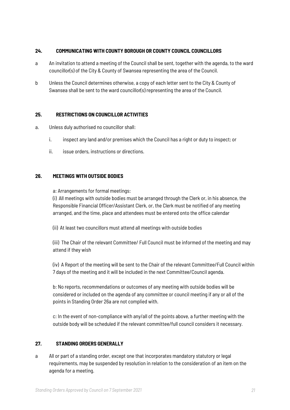### **24. COMMUNICATING WITH COUNTY BOROUGH OR COUNTY COUNCIL COUNCILLORS**

- a An invitation to attend a meeting of the Council shall be sent, together with the agenda, to the ward councillor(s) of the City & County of Swansea representing the area of the Council.
- b Unless the Council determines otherwise, a copy of each letter sent to the City & County of Swansea shall be sent to the ward councillor(s) representing the area of the Council.

## **25. RESTRICTIONS ON COUNCILLOR ACTIVITIES**

- a. Unless duly authorised no councillor shall:
	- i. inspect any land and/or premises which the Council has a right or duty to inspect; or
	- ii. issue orders, instructions or directions.

### **26. MEETINGS WITH OUTSIDE BODIES**

a: Arrangements for formal meetings:

(i) All meetings with outside bodies must be arranged through the Clerk or, in his absence, the Responsible Financial Officer/Assistant Clerk, or, the Clerk must be notified of any meeting arranged, and the time, place and attendees must be entered onto the office calendar

(ii) At least two councillors must attend all meetings with outside bodies

(iii) The Chair of the relevant Committee/ Full Council must be informed of the meeting and may attend if they wish

(iv) A Report of the meeting will be sent to the Chair of the relevant Committee/Full Council within 7 days of the meeting and it will be included in the next Committee/Council agenda.

b: No reports, recommendations or outcomes of any meeting with outside bodies will be considered or included on the agenda of any committee or council meeting if any or all of the points in Standing Order 26a are not complied with.

c: In the event of non-compliance with any/all of the points above, a further meeting with the outside body will be scheduled if the relevant committee/full council considers it necessary.

# **27. STANDING ORDERS GENERALLY**

a All or part of a standing order, except one that incorporates mandatory statutory or legal requirements, may be suspended by resolution in relation to the consideration of an item on the agenda for a meeting.